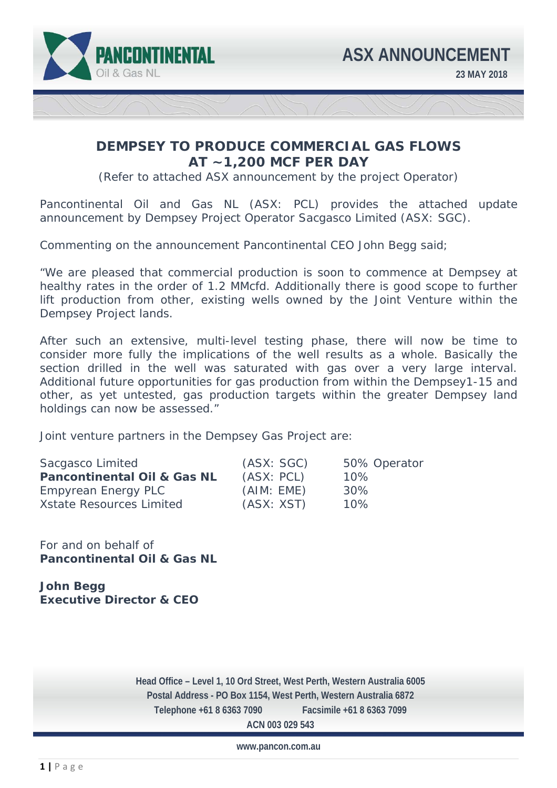

## **DEMPSEY TO PRODUCE COMMERCIAL GAS FLOWS AT ~1,200 MCF PER DAY**

(Refer to attached ASX announcement by the project Operator)

Pancontinental Oil and Gas NL (ASX: PCL) provides the attached update announcement by Dempsey Project Operator Sacgasco Limited (ASX: SGC).

Commenting on the announcement Pancontinental CEO John Begg said;

"We are pleased that commercial production is soon to commence at Dempsey at healthy rates in the order of 1.2 MMcfd. Additionally there is good scope to further lift production from other, existing wells owned by the Joint Venture within the Dempsey Project lands.

After such an extensive, multi-level testing phase, there will now be time to consider more fully the implications of the well results as a whole. Basically the section drilled in the well was saturated with gas over a very large interval. Additional future opportunities for gas production from within the Dempsey1-15 and other, as yet untested, gas production targets within the greater Dempsey land holdings can now be assessed."

Joint venture partners in the Dempsey Gas Project are:

| Sacgasco Limited                       | (ASK: SGC) | 50% Operator |
|----------------------------------------|------------|--------------|
| <b>Pancontinental Oil &amp; Gas NL</b> | (ASX: PCL) | 10%          |
| Empyrean Energy PLC                    | (AIM: EME) | 30%          |
| <b>Xstate Resources Limited</b>        | (ASX: XST) | 10%          |

For and on behalf of **Pancontinental Oil & Gas NL** 

**John Begg Executive Director & CEO** 

 **Telephone +61 8 6363 7090 Facsimile +61 8 6363 7099 Head Office – Level 1, 10 Ord Street, West Perth, Western Australia 6005 Postal Address - PO Box 1154, West Perth, Western Australia 6872 ACN 003 029 543** 

**www.pancon.com.au**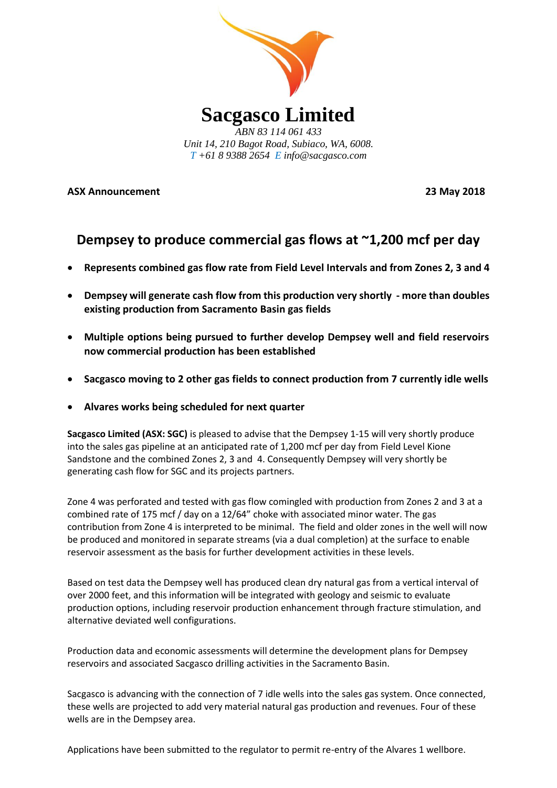

**ASX Announcement 23 May 2018**

# **Dempsey to produce commercial gas flows at ~1,200 mcf per day**

- **Represents combined gas flow rate from Field Level Intervals and from Zones 2, 3 and 4**
- **Dempsey will generate cash flow from this production very shortly - more than doubles existing production from Sacramento Basin gas fields**
- **Multiple options being pursued to further develop Dempsey well and field reservoirs now commercial production has been established**
- **Sacgasco moving to 2 other gas fields to connect production from 7 currently idle wells**
- **Alvares works being scheduled for next quarter**

**Sacgasco Limited (ASX: SGC)** is pleased to advise that the Dempsey 1-15 will very shortly produce into the sales gas pipeline at an anticipated rate of 1,200 mcf per day from Field Level Kione Sandstone and the combined Zones 2, 3 and 4. Consequently Dempsey will very shortly be generating cash flow for SGC and its projects partners.

Zone 4 was perforated and tested with gas flow comingled with production from Zones 2 and 3 at a combined rate of 175 mcf / day on a 12/64" choke with associated minor water. The gas contribution from Zone 4 is interpreted to be minimal. The field and older zones in the well will now be produced and monitored in separate streams (via a dual completion) at the surface to enable reservoir assessment as the basis for further development activities in these levels.

Based on test data the Dempsey well has produced clean dry natural gas from a vertical interval of over 2000 feet, and this information will be integrated with geology and seismic to evaluate production options, including reservoir production enhancement through fracture stimulation, and alternative deviated well configurations.

Production data and economic assessments will determine the development plans for Dempsey reservoirs and associated Sacgasco drilling activities in the Sacramento Basin.

Sacgasco is advancing with the connection of 7 idle wells into the sales gas system. Once connected, these wells are projected to add very material natural gas production and revenues. Four of these wells are in the Dempsey area.

Applications have been submitted to the regulator to permit re-entry of the Alvares 1 wellbore.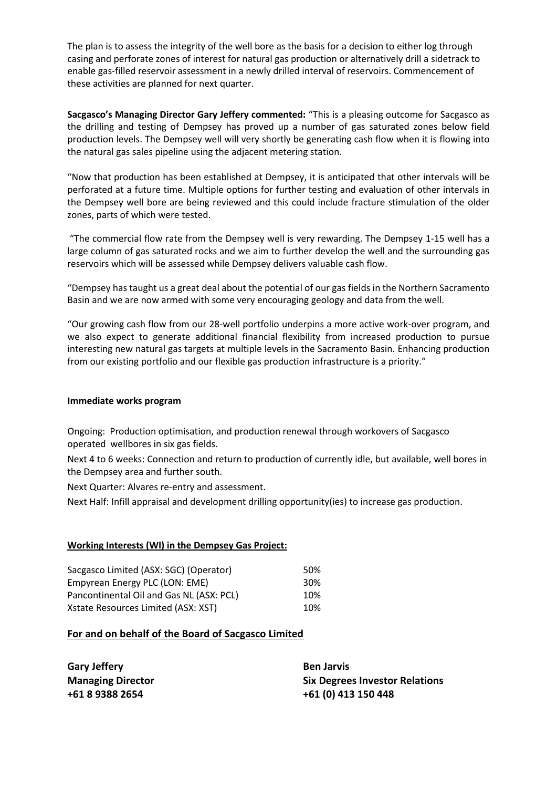The plan is to assess the integrity of the well bore as the basis for a decision to either log through casing and perforate zones of interest for natural gas production or alternatively drill a sidetrack to enable gas-filled reservoir assessment in a newly drilled interval of reservoirs. Commencement of these activities are planned for next quarter.

**Sacgasco's Managing Director Gary Jeffery commented:** "This is a pleasing outcome for Sacgasco as the drilling and testing of Dempsey has proved up a number of gas saturated zones below field production levels. The Dempsey well will very shortly be generating cash flow when it is flowing into the natural gas sales pipeline using the adjacent metering station.

"Now that production has been established at Dempsey, it is anticipated that other intervals will be perforated at a future time. Multiple options for further testing and evaluation of other intervals in the Dempsey well bore are being reviewed and this could include fracture stimulation of the older zones, parts of which were tested.

"The commercial flow rate from the Dempsey well is very rewarding. The Dempsey 1-15 well has a large column of gas saturated rocks and we aim to further develop the well and the surrounding gas reservoirs which will be assessed while Dempsey delivers valuable cash flow.

"Dempsey has taught us a great deal about the potential of our gas fields in the Northern Sacramento Basin and we are now armed with some very encouraging geology and data from the well.

"Our growing cash flow from our 28-well portfolio underpins a more active work-over program, and we also expect to generate additional financial flexibility from increased production to pursue interesting new natural gas targets at multiple levels in the Sacramento Basin. Enhancing production from our existing portfolio and our flexible gas production infrastructure is a priority."

## **Immediate works program**

Ongoing: Production optimisation, and production renewal through workovers of Sacgasco operated wellbores in six gas fields.

Next 4 to 6 weeks: Connection and return to production of currently idle, but available, well bores in the Dempsey area and further south.

Next Quarter: Alvares re-entry and assessment.

Next Half: Infill appraisal and development drilling opportunity(ies) to increase gas production.

## **Working Interests (WI) in the Dempsey Gas Project:**

| Sacgasco Limited (ASX: SGC) (Operator)   | .50%            |
|------------------------------------------|-----------------|
| Empyrean Energy PLC (LON: EME)           | 30 <sup>%</sup> |
| Pancontinental Oil and Gas NL (ASX: PCL) | 10%             |
| Xstate Resources Limited (ASX: XST)      | 10%             |

## **For and on behalf of the Board of Sacgasco Limited**

| <b>Gary Jeffery</b>      | <b>Ben Jarvis</b>                     |
|--------------------------|---------------------------------------|
| <b>Managing Director</b> | <b>Six Degrees Investor Relations</b> |
| +61 8 9388 2654          | +61 (0) 413 150 448                   |